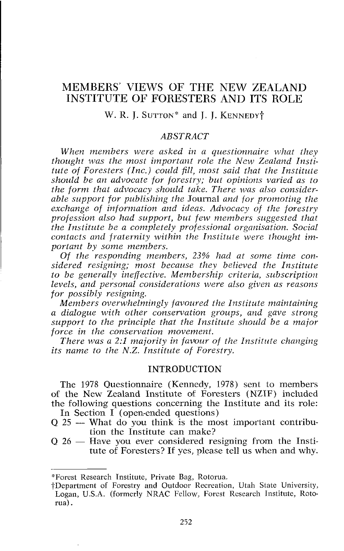# MEMBERS' VIEWS OF THE NEW ZEALAND INSTITUTE OF FORESTERS AND ITS ROLE

# W. R. J. SUTTON<sup>\*</sup> and J. J. KENNEDY<sup>†</sup>

### *ABSTRACT*

*When members were asked in a questionnaire what they thought was the most imporlaat role the New Zealand Insfifule of Foresters (Inc.) could fill, most said that the Institute should be an advocate for forestry; but opinions varied as to the form that advocacy should take. There was also considerable support for publishing the* Journal *and for promoting the exchange of information and ideas. Advocacy of the forestry*  profession also had support, but few members suggested that *the Institute be a completely professional organisation. Social contacts and fraternity within the Institute were thought important by some members.* 

*Of the responding members, 23% had at some time considered resigning; most because they believed the Institute to be generally ineffective. Membership criteria, stibscription levels, and personal considerations were also given as reasons for possibly resigning.* 

*Members overwhelmingly favoured the Institute maintaining a dialogue with other conservation groups, and gave strong support to the principle that the Institute should be a major force in the conservation movement.* 

*There was a 2:1 majority in favour of the Institute changing its name to the N.Z. Institute of Forestry.* 

## INTRODUCTION

The 1978 Questionnaire (Kennedy, 1978) sent to members of the New Zealand Institute of Foresters (NZIF) included the following questions concerning the Institute and its role: In Section I (open-ended questions)

- $Q$  25 What do you think is the most important contribution the Institute can make?
- $Q_2$  26 Have you ever considered resigning from the Institute of Foresters? If yes, please tell us when and why.

<sup>&#</sup>x27;FForest Research Institute, Private Bag, Rotorua.

tDepartment of Forestry and Outdoor Recreation, Utah State University, Logan, U.S.A. (formerly NRAC Fellow, Forest Research Institute, Rotorua) .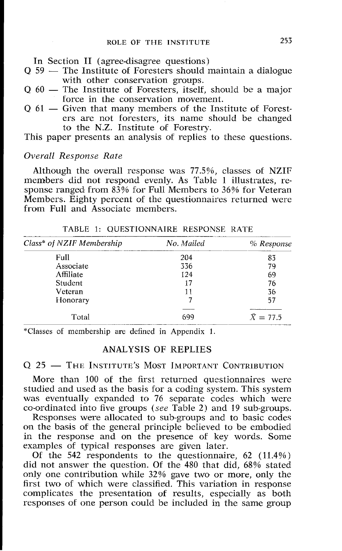In Section I1 (agree-disagree questions)

- $Q$  59  $-$  The Institute of Foresters should maintain a dialogue with other conservation groups.
- Q 60 The Institute of Foresters, itself, should be a major force in the conservation movement.
- Q 61 Given that many members of the Institute of Foresters are not foresters, its name should be changed to the N.Z. Institute of Forestry.

This paper presents an analysis of replies to these questions.

# *Overall Response Rate*

Although the overall response was 77.5%, classes of NZIF members did not respond evenly. As Table 1 illustrates, response ranged from 83% for Full Members to 36% for Veteran Members. Eighty percent of the questionnaires returned were from Full and Associate members.

| Class* of NZIF Membership | No. Mailed | $%$ Response     |  |  |  |  |
|---------------------------|------------|------------------|--|--|--|--|
| Full                      | 204        | 83               |  |  |  |  |
| Associate                 | 336        | 79               |  |  |  |  |
| Affiliate                 | 124        | 69               |  |  |  |  |
| Student                   | 17         | 76               |  |  |  |  |
| Veteran                   | 11         | 36               |  |  |  |  |
| Honorary                  |            | 57               |  |  |  |  |
|                           |            |                  |  |  |  |  |
| Total                     | 699        | $\bar{X} = 77.5$ |  |  |  |  |

TABLE 1: QUESTIONNAIRE RESPONSE KATE

"Classes of membership are defined in Appendix 1.

# ANALYSIS OF REPLIES

Q 25 - THE INSTITUTE'S MOST IMPORTANT CONTRIBUTION

More than 100 of the first returned questionnaires were studied and used as the basis for a coding system. This system was eventually expanded to 76 separate codes which were co-ordinated into five groups *(see* Table 2) and 19 sub-groups.

Responses were allocated to sub-groups and to basic codes on the basis of the general principle believed to be embodied in the response and m the presence of key words. Some examples of typical responses are given later.

Of the 542 respondents to the questionnaire, 62 (11.4%) did not answer the question. Of the 480 that did, 68% stated only one contribution while 32% gave two or more, only the first two of which were classified. This variation in response complicates the presentation of results, especially as both responses of one person could be included in the same group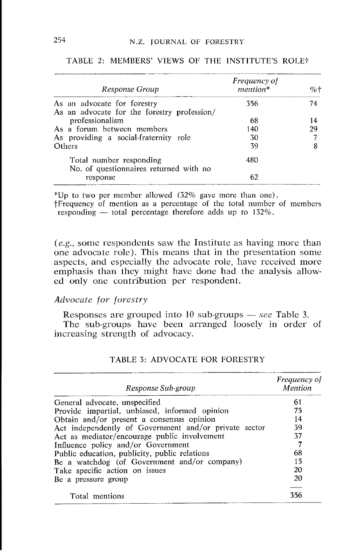| Response Group                                                             | Frequency of<br>mention* | $% +$ |
|----------------------------------------------------------------------------|--------------------------|-------|
| As an advocate for forestry<br>As an advocate for the forestry profession/ | 356                      | 74    |
| professionalism                                                            | 68                       | 14    |
| As a forum between members                                                 | 140                      | 29    |
| As providing a social-fraternity role                                      | 30                       |       |
| Others                                                                     | 39                       |       |
| Total number responding<br>No. of questionnaires returned with no          | 480                      |       |
| response                                                                   | 62                       |       |

#### TABLE 2: MEMBERS' VIEWS OF THE INSTITUTE'S ROLE?

\*Up to two per member allowed  $(32\%$  gave more than one).

+Frequency of mention as a percentage of the total number of members Up to two per member allowed (32% gave more than one)<br>Frequency of mention as a percentage of the total number<br>responding — total percentage therefore adds up to 132%.

*(e.g., some respondents saw the Institute as having more than* one advocate role). This means that in the presentation some aspects, and especially the advocate role, have received more emphasis than they might have done had the analysis allowed only onc contribution per respondent.

## *Advocate /or forestry*

Responses are grouped into 10 sub-groups - *see* Table 3.

The sub-groups have been arranged loosely in order of increasing strength of advocacy.

| Response Sub-group                                    | <i>Frequency of</i><br>Mention |
|-------------------------------------------------------|--------------------------------|
| General advocate, unspecified                         | 61                             |
| Provide impartial, unbiased, informed opinion         | 75                             |
| Obtain and/or present a consensus opinion             | 14                             |
| Act independently of Government and/or private sector | 39                             |
| Act as mediator/encourage public involvement          | 37                             |
| Influence policy and/or Government                    | 7                              |
| Public education, publicity, public relations         | 68                             |
| Be a watchdog (of Government and/or company)          | 15                             |
| Take specific action on issues                        | 20                             |
| Be a pressure group                                   | 20                             |
| Total mentions                                        | 356                            |

# TABLE **3:** ADVOCATE FOR FORESTRY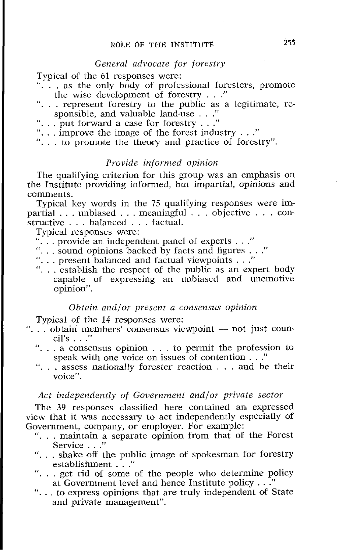## General advocate for forestry

Typical of the 61 responses were:

- "... as the only body of professional foresters, promote the wise development of forestry . . ."
- ". . . represent forestry to the public as a legitimate, responsible, and valuable land-use  $\ldots$
- "... put forward a case for forestry  $\dots$ "
- $\ldots$  improve the image of the forest industry  $\ldots$ ."
- ". . . to promote the theory and practice of forestry".

# Provide informed opinion

The qualifying criterion for this group was an emphasis on the Institute providing informed, but impartial, opinions and comments.

Typical key words in the 75 qualifying responses were impartial . . . unbiased . . . meaningful . . . objective . . . constructive . . . balanced . . . factual.

Typical respmses were:

- $\ldots$  provide an independent panel of experts  $\ldots$ "
- ". . . sound opinions backed by facts and figures . . ."
- ". . . present balanced and factual viewpoints . . ."
- "... establish the respect of the public as an expert body capable of expressing an unbiased and unemotive opinion".

#### Obtain and/or present a consensus opinion

Typical of the 14 responses were:

- "... obtain members' consensus viewpoint  $-$  not just council's . . ."
	- *''*... a consensus opinion ... to permit the profession to speak with one voice on issues of contention ..."
	- "...  $\bar{\text{}}$  assess nationally forester reaction . . . and be their voice".

# Act independently of Government and/or private sector

The 39 responses classified here contained an expressed view that it was necessary to act independently especialIy of Government, company, or employer. For example:

- "... maintain a separate opinion from that of the Forest Service ..."
- "... shake off the public image of spokesman for forestry establishment ..."
- "... get rid of some of the people who determine policy at Government level and hence Institute policy . . ."
- ". . . to express opinions that are truly independent of State and private management".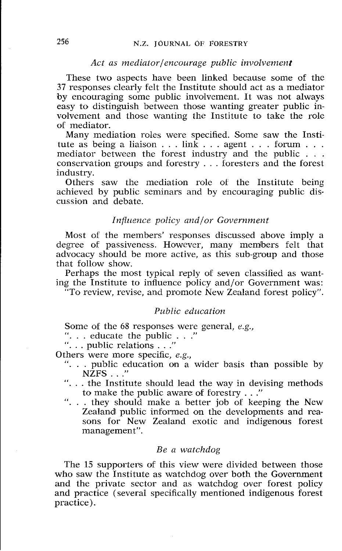#### Act as mediator/encourage public involvement

These two aspects have been linked because some of the **37** responses clearly felt the Institute should act as a mediator by encouraging some public involvement. It was not always easy to distinguish between those wanting greater public involvement and those wanting the Institute to take the role of mediator.

Many mediation roles were specified. Some saw the Institute as being a liaison  $\dots$  link  $\dots$  agent  $\dots$  forum  $\dots$ mediator between the forest industry and the public  $\dots$  conservation groups and forestry  $\dots$  foresters and the forest industry.

Others saw the mediation role of the Institute being achieved by public seminars and by encouraging public discussion and debate.

#### *Influence policy and/or Government*

Most of the members' responses discussed above imply a degree of passiveness. However, many members felt that advocacy should be more active, as this sub-group and those that follow show.

Perhaps the most typical reply of seven classified as wanting the Institute to influence policy and/or Government was:

"To review, revise, and promote New Zealand forest policy".

# *Public education*

Some of the 68 responses were general, *e.g.*, ". . . educate the public . . ."<br>". . . public relations . . ."

Others were more specific, *e.g.,* 

- "... public education on a wider basis than possible by NZFS ..."
- "... the Institute should lead the way in devising methods to make the public aware of forestry . . ."
- ". . . they should make a better job of keeping the New Zealand public informed on the developments and reasons for New Zealand exotic and indigenous forest management".

#### *Be a watchdog*

The 15 supporters of this view were divided between those who saw the Institute as watchdog over both the Government and the private sector and as watchdog over forest policy and practice (several specifically mentioned indigenous forest practice).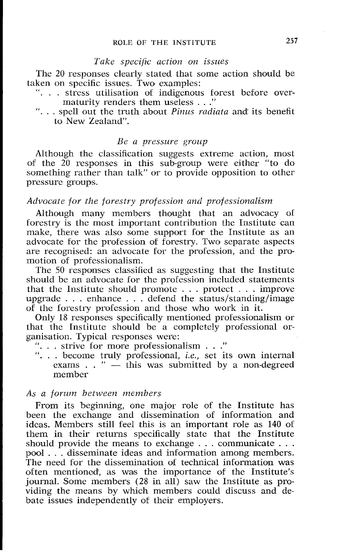# *Take specific action on issues*

The 20 responses clearly stated that some action should be taken on specific issues. Two examples:

- ". . . stress utilisation of indigenous forest before overmaturity renders them useless . . ."
- ". . . spell out the truth about *Pinus radiatu* and its benefit to New Zealand".

#### *Be a pressure group*

Although the classification suggests extreme action, most of the  $20$  responses in this sub-group were either "to do something rather than talk" or to provide opposition to other pressure groups.

## *Advocate for the forestry profession und professionalism*

Although many members thought that an advocacy of forestry is the most important contribution the Institute can make, there was also some suppart for the Institute as an advocate for the profession of forestry. Two separate aspects are recognised: an advocate for the profession, and the promotion of professionalism.

The 50 responses classified as suggesting that the Institute should be an advocate for the profession included statements that the Institute should promote . . . protect . . . improve upgrade  $\ldots$  enhance  $\ldots$  defend the status/standing/image of the forestry profession and those who work in it.

Only 18 responses specifically mentioaed professioaalism or that the Institute should be a completely professional organisation. Typical responses were:

- "... strive for more professionalism  $\ldots$ "
- "... strive for more professionalism ..."<br>"... become truly professional, *i.e.*, set its own internal exams ..." this was submitted by a non-degreed momber member

#### *As a foruin between members*

From its beginning, one major role of the Institute has been the exchange and dissemination of information and ideas. Members still feel this is an important role as 140 of them in their returns specifically state that the Institute should provide the means to exchange  $\dots$  communicate  $\dots$ pool . . . disseminate ideas and information among members. The need for the dissemination of technical information was often mentioned, as was the importance of the Institute's journal. Some members (28 in all) saw the Institute as providing the means by which members could discuss and debate issues independently of their employers.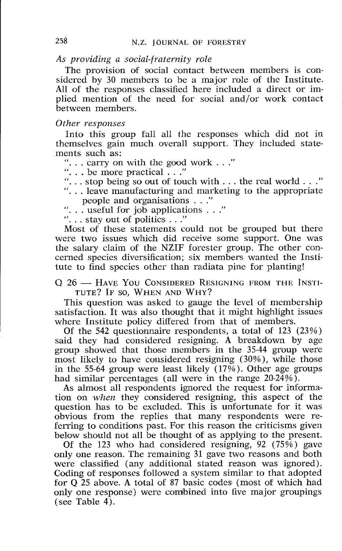# *As providing a social-fraternity role*

The provision of social contact between members is considered by 30 members to be a major role of the Institute. All of the responses classified here included a direct or implied mention of the need for social and/or work contact between members.

### *Other responses*

Into this group fall all he responses which did not in themselves gain much overall support. They included statements such as:

**'I.** . . carry on with the good work . . ."

". . . be more practical . . ."

- ". . . stop being so out of touch with . . . the real world . . ."
- ". . . leave manufacturing and marketing to the appropriate people and organisations . . ."
- ". . . useful for job applications . . ."

"... stay out of politics  $\ldots$ "

Most of these statements could not be grouped but there were two issues which did receive some support. One was the salary claim of the NZIF forester group. The other concerned species diversification; six members wanted the Institute to find species other than radiata pine for planting!

## Q 26 - HAVE YOU CONSIDERED RESIGNING FROM THE INSTI-**TUTE? IF SO, WHEN AND WHY?**

This question was asked to gauge the level of membership satisfaction. It was also thought that it might highlight issues where Institute policy differed from that of members.

Of the 542 questionnaire respondents, a total of 123 (23%) said they had considered resigning. A breakdown by age group showed that those members in the 35-44 group were most likely to have considered resigning (30%), while those in the 55-64 group were least likely (17%). Other age groups had similar percentages (all were in the range 20-24%).

As almost all respondents ignored the request for information on *when* they considered resigning, this aspect of the question has to be excluded. This is unfortunate for it was obvious from the replies that many respondents were referring to conditions past. For this reason the criticisms given below should not all be thought of as applying to the present.

Of the 123 who had considered resigning, 92 (75%) gave only one reason. The remaining 31 gave two reasons and both were classified (any additional stated reason was ignored). Coding of responses followed a system similar to that adopted for **Q** 25 above. A total of 87 basic codes (most of which had only one response) were combined into five major groupings (see Table  $4$ ).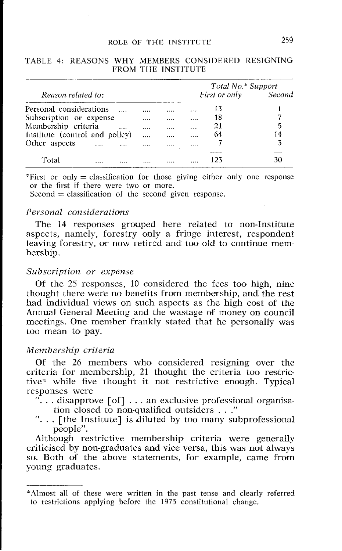# **ROLE** OF THE **INSTITUTE** 259

|                                |              | Total No.* Support |                      |    |  |  |
|--------------------------------|--------------|--------------------|----------------------|----|--|--|
| Reason related to:             |              |                    | First or only Second |    |  |  |
| Personal considerations        | <br>         |                    | 13                   |    |  |  |
| Subscription or expense        | <br>         | .                  | 18                   |    |  |  |
| Membership criteria            | <br>         |                    | 21                   | 5  |  |  |
| Institute (control and policy) | <br>$\cdots$ |                    | 64                   | 14 |  |  |
| Other aspects<br>$\cdots$      |              |                    |                      | 3  |  |  |
|                                |              |                    |                      |    |  |  |
| Total                          |              |                    | 123                  | 30 |  |  |

#### TABLE 4: REASONS WHY MEMBERS CONSIDERED RESIGNING FROM THE INSTITUTE

\*First or only  $=$  classification for those giving either only one response or the first if there were two or more.

 $Second = classification of the second given response.$ 

#### *Personal con.siderations*

The 14 responses grouped here related to non-Institute aspects, namely, forestry only a fringe interest, respondent leaving forestry, or now retired and too old to continue membership.

# *Subscription or expense*

Of the 25 responses, 10 considered the fees too high, nine thought there were no benefits from membership, and the rest had individual views on such aspects as the high cost of the Annual General Meeting and the wastage of money on council meetings. One member frankly stated that he personally was too mean to pay.

# *Membership criteria*

Of the 26 members who considered resigning over the criteria for memlbership, 21 thought the criteria too restrictive\* while five thought it not restrictive enough. Typical responses were

- $\cdot$ ... disapprove [of]... an exclusive professional organisation closed to non-qualified outsiders .. ."
- ". .. [the Institute] is diluted by too many subprofessional people".

Although restrictive membership criteria were generally criticised by noa-graduates and vice versa, this was not always so. Both of the above statements. for example, came from young graduates.

<sup>&</sup>quot;Almost all of these were written in the past tense and clearly referred to restrictions applying before the 1975 constitutional change.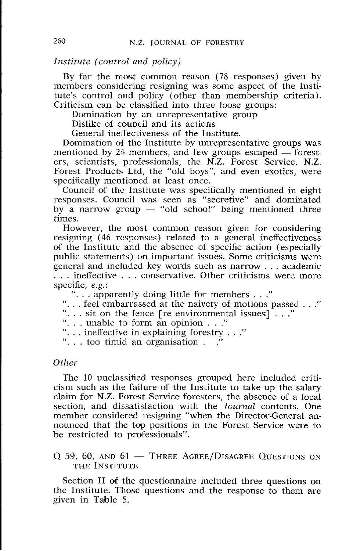# *Institute (control and policy)*

By far the most common reason (78 responses) given by members considering resigning was some aspect of the Institute's control and policy (other than membership criteria). Criticism can be classified into three loose groups:

Domination by an unrepresentative group

Dislike of council and its actions

General ineffectiveness of the Institute.

Domination of the Institute by unrepresentative groups was mentioned by 24 members, and few groups escaped  $-$  foresters, scientists, professionals, the N.Z. Forest Service, N.Z. Forest Products Ltd, the "old boys", and even exotics, were specifically mentioned at least once.

Council of the Institute was specifically mentioned in eight responses. Council was seen as "secretive" and dominated by a narrow group  $-$  "old school" being mentioned three times.

However, the most common reason given for considering resigning (46 responses) related to a general ineffectiveness of the Institute and the absence of specific action (especially public statements) on important issues. Some criticisms were general and included key words such as narrow . . . academic ... ineffective ... conservative. Other criticisms were more specific, *e.g.*:

"... apparently doing little for members ..."

". . . feel embarraissed at the naivety of motions passed . . ."

"... sit on the fence  $[$ re environmental issues $]$ ..."

"... unable to form an opinion ..."<br>"... ineffective in explaining forestry ..."

 $\ldots$  too timid an organisation  $\ldots$ 

## *Other*

The 10 unclassified responses grouped here included criticism such as the failure of the Institute to take up the salary claim for N.Z. Forest Service foresters, the absence of a local section, and dissatisfaction with the *Journal* contents. One member considered resigning "when the Director-General announced that the top positions in the Forest Service were to be restricted to professionals".

# Q 59, 60, AND 61 - THREE AGREE/DISAGREE QUESTIONS ON THE INSTITUTE

Section II of the questionnaire included three questions on the Institute. Those questions and the response to them are given in Table 5.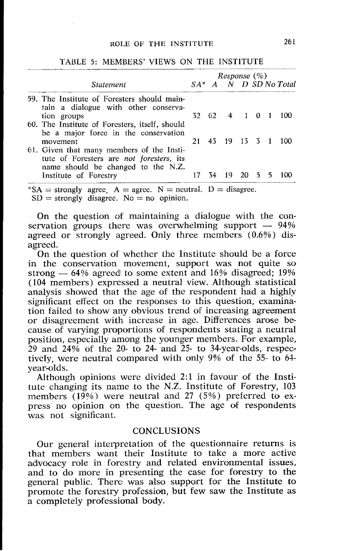|                                                                                                                                     | Response (%) |       |         |                      |  |  |                          |
|-------------------------------------------------------------------------------------------------------------------------------------|--------------|-------|---------|----------------------|--|--|--------------------------|
| <b>Statement</b>                                                                                                                    |              |       |         |                      |  |  | $SA^*$ A N D SD No Total |
| 59. The Institute of Foresters should main-<br>tain a dialogue with other conserva-                                                 |              |       |         |                      |  |  |                          |
| tion groups                                                                                                                         |              | 32 62 | 4 1 0 1 |                      |  |  | 100                      |
| 60. The Institute of Foresters, itself, should<br>be a major force in the conservation                                              |              |       |         |                      |  |  |                          |
| movement                                                                                                                            | 21           | 43.   | - 19    | $13 \quad 3 \quad 1$ |  |  | 100                      |
| 61. Given that many members of the Insti-<br>tute of Foresters are <i>not foresters</i> , its<br>name should be changed to the N.Z. |              |       |         |                      |  |  |                          |
| Institute of Forestry                                                                                                               |              |       | 19      | $20 \quad 5 \quad 5$ |  |  |                          |

TABLE 5: MEMBERS' VIEWS ON THE INSTITUTE

 $*SA =$  strongly agree. A = agree. N = neutral. D = disagree.

 $SD =$  strongly disagree. No = no opinion.

On the question of maintaining a dialogue with the con-On the question of maintaining a dialogue with the conservation groups there was overwhelming support  $-$  94% agreed or strongly agreed. Only three members (0.6%) disagreed.

On the question of whether the Institute should be a force in the conservation movement, support was not quite so On the question of whether the Institute should be a force<br>in the conservation movement, support was not quite so<br>strong  $-64%$  agreed to some extent and 16% disagreed; 19%<br>(104 mombors) supposed a neutral view Although s (104 members) expressed a neutral view. Although statistical analysis showed that the age of the respondent had a highly significant effect on the responses to this question, examination failed to show any obvious trend of increasing agreement or disagreement with increase in age. Differences arose because of varying proportions of respondents stating a neutral position, especially among the younger members. For example,  $29$  and  $24\%$  of the 20- to 24- and 25- to 34-year-olds, respectively, were neutral compared with only 9% of the 55- to 61 year-olds.

Although opinions were divided 2:1 in favour of the Institute changing its name to the N.Z. Institute of Forestry, 103 members  $(19\%)$  were neutral and 27 (5%) preferred to express no opinion on the question. The age of respondents was not significant.

## **CONCLUSIONS**

Our general interpretation of the questionnaire returns is that members want their Institute to take a more active advocacy role in forestry and related environmental issues, and to do more in presenting the case for forestry to the general public. There was also support for the Institute to promote the forestry profession, but few saw the Institute as a completely professional body.